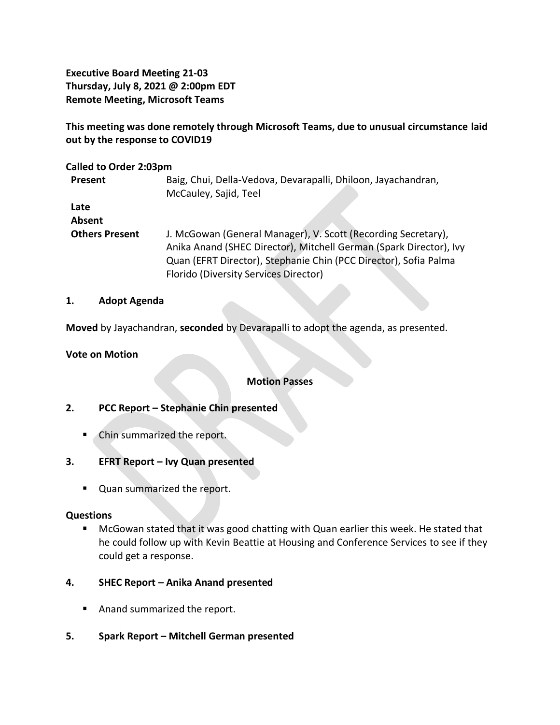**Executive Board Meeting 21-03 Thursday, July 8, 2021 @ 2:00pm EDT Remote Meeting, Microsoft Teams**

**This meeting was done remotely through Microsoft Teams, due to unusual circumstance laid out by the response to COVID19**

### **Called to Order 2:03pm**

| Present               | Baig, Chui, Della-Vedova, Devarapalli, Dhiloon, Jayachandran,<br>McCauley, Sajid, Teel                                              |
|-----------------------|-------------------------------------------------------------------------------------------------------------------------------------|
| Late                  |                                                                                                                                     |
| Absent                |                                                                                                                                     |
| <b>Others Present</b> | J. McGowan (General Manager), V. Scott (Recording Secretary),<br>Anika Anand (SHEC Director), Mitchell German (Spark Director), Ivy |
|                       | Quan (EFRT Director), Stephanie Chin (PCC Director), Sofia Palma                                                                    |
|                       | Florido (Diversity Services Director)                                                                                               |

### **1. Adopt Agenda**

**Moved** by Jayachandran, **seconded** by Devarapalli to adopt the agenda, as presented.

### **Vote on Motion**

### **Motion Passes**

## **2. PCC Report – Stephanie Chin presented**

- Chin summarized the report.
- **3. EFRT Report – Ivy Quan presented**
	- Quan summarized the report.

### **Questions**

- McGowan stated that it was good chatting with Quan earlier this week. He stated that he could follow up with Kevin Beattie at Housing and Conference Services to see if they could get a response.
- **4. SHEC Report – Anika Anand presented** 
	- Anand summarized the report.
- **5. Spark Report – Mitchell German presented**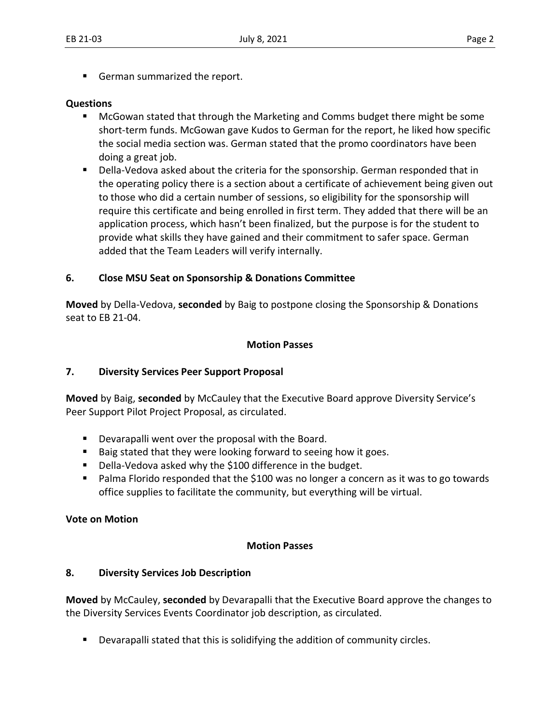■ German summarized the report.

### **Questions**

- McGowan stated that through the Marketing and Comms budget there might be some short-term funds. McGowan gave Kudos to German for the report, he liked how specific the social media section was. German stated that the promo coordinators have been doing a great job.
- Della-Vedova asked about the criteria for the sponsorship. German responded that in the operating policy there is a section about a certificate of achievement being given out to those who did a certain number of sessions, so eligibility for the sponsorship will require this certificate and being enrolled in first term. They added that there will be an application process, which hasn't been finalized, but the purpose is for the student to provide what skills they have gained and their commitment to safer space. German added that the Team Leaders will verify internally.

### **6. Close MSU Seat on Sponsorship & Donations Committee**

**Moved** by Della-Vedova, **seconded** by Baig to postpone closing the Sponsorship & Donations seat to EB 21-04.

### **Motion Passes**

### **7. Diversity Services Peer Support Proposal**

**Moved** by Baig, **seconded** by McCauley that the Executive Board approve Diversity Service's Peer Support Pilot Project Proposal, as circulated.

- Devarapalli went over the proposal with the Board.
- Baig stated that they were looking forward to seeing how it goes.
- Della-Vedova asked why the \$100 difference in the budget.
- Palma Florido responded that the \$100 was no longer a concern as it was to go towards office supplies to facilitate the community, but everything will be virtual.

### **Vote on Motion**

#### **Motion Passes**

### **8. Diversity Services Job Description**

**Moved** by McCauley, **seconded** by Devarapalli that the Executive Board approve the changes to the Diversity Services Events Coordinator job description, as circulated.

Devarapalli stated that this is solidifying the addition of community circles.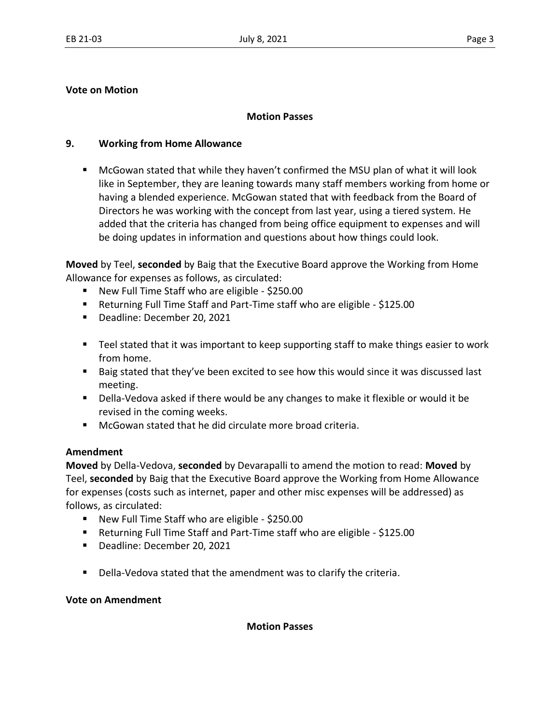## **Vote on Motion**

### **Motion Passes**

## **9. Working from Home Allowance**

■ McGowan stated that while they haven't confirmed the MSU plan of what it will look like in September, they are leaning towards many staff members working from home or having a blended experience. McGowan stated that with feedback from the Board of Directors he was working with the concept from last year, using a tiered system. He added that the criteria has changed from being office equipment to expenses and will be doing updates in information and questions about how things could look.

**Moved** by Teel, **seconded** by Baig that the Executive Board approve the Working from Home Allowance for expenses as follows, as circulated:

- New Full Time Staff who are eligible \$250.00
- Returning Full Time Staff and Part-Time staff who are eligible \$125.00
- Deadline: December 20, 2021
- Teel stated that it was important to keep supporting staff to make things easier to work from home.
- Baig stated that they've been excited to see how this would since it was discussed last meeting.
- Della-Vedova asked if there would be any changes to make it flexible or would it be revised in the coming weeks.
- McGowan stated that he did circulate more broad criteria.

## **Amendment**

**Moved** by Della-Vedova, **seconded** by Devarapalli to amend the motion to read: **Moved** by Teel, **seconded** by Baig that the Executive Board approve the Working from Home Allowance for expenses (costs such as internet, paper and other misc expenses will be addressed) as follows, as circulated:

- New Full Time Staff who are eligible \$250.00
- Returning Full Time Staff and Part-Time staff who are eligible \$125.00
- Deadline: December 20, 2021
- Della-Vedova stated that the amendment was to clarify the criteria.

**Vote on Amendment** 

**Motion Passes**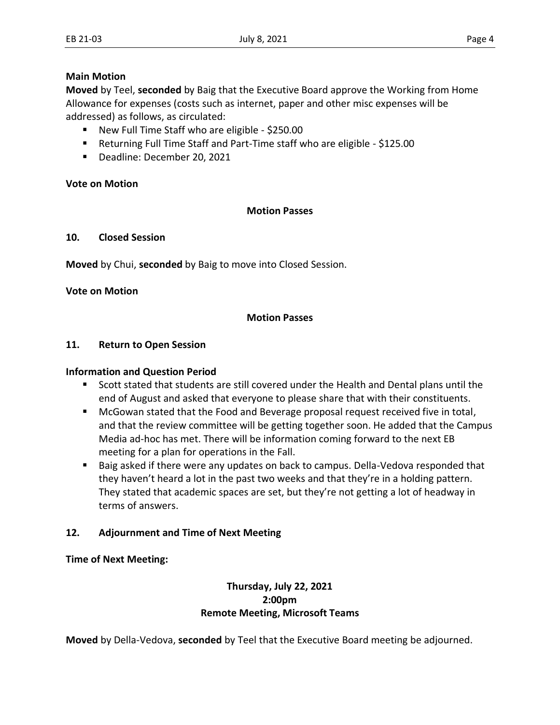### **Main Motion**

**Moved** by Teel, **seconded** by Baig that the Executive Board approve the Working from Home Allowance for expenses (costs such as internet, paper and other misc expenses will be addressed) as follows, as circulated:

- New Full Time Staff who are eligible \$250.00
- Returning Full Time Staff and Part-Time staff who are eligible \$125.00
- Deadline: December 20, 2021

## **Vote on Motion**

## **Motion Passes**

### **10. Closed Session**

**Moved** by Chui, **seconded** by Baig to move into Closed Session.

### **Vote on Motion**

## **Motion Passes**

### **11. Return to Open Session**

### **Information and Question Period**

- Scott stated that students are still covered under the Health and Dental plans until the end of August and asked that everyone to please share that with their constituents.
- McGowan stated that the Food and Beverage proposal request received five in total, and that the review committee will be getting together soon. He added that the Campus Media ad-hoc has met. There will be information coming forward to the next EB meeting for a plan for operations in the Fall.
- Baig asked if there were any updates on back to campus. Della-Vedova responded that they haven't heard a lot in the past two weeks and that they're in a holding pattern. They stated that academic spaces are set, but they're not getting a lot of headway in terms of answers.

## **12. Adjournment and Time of Next Meeting**

### **Time of Next Meeting:**

## **Thursday, July 22, 2021 2:00pm Remote Meeting, Microsoft Teams**

**Moved** by Della-Vedova, **seconded** by Teel that the Executive Board meeting be adjourned.